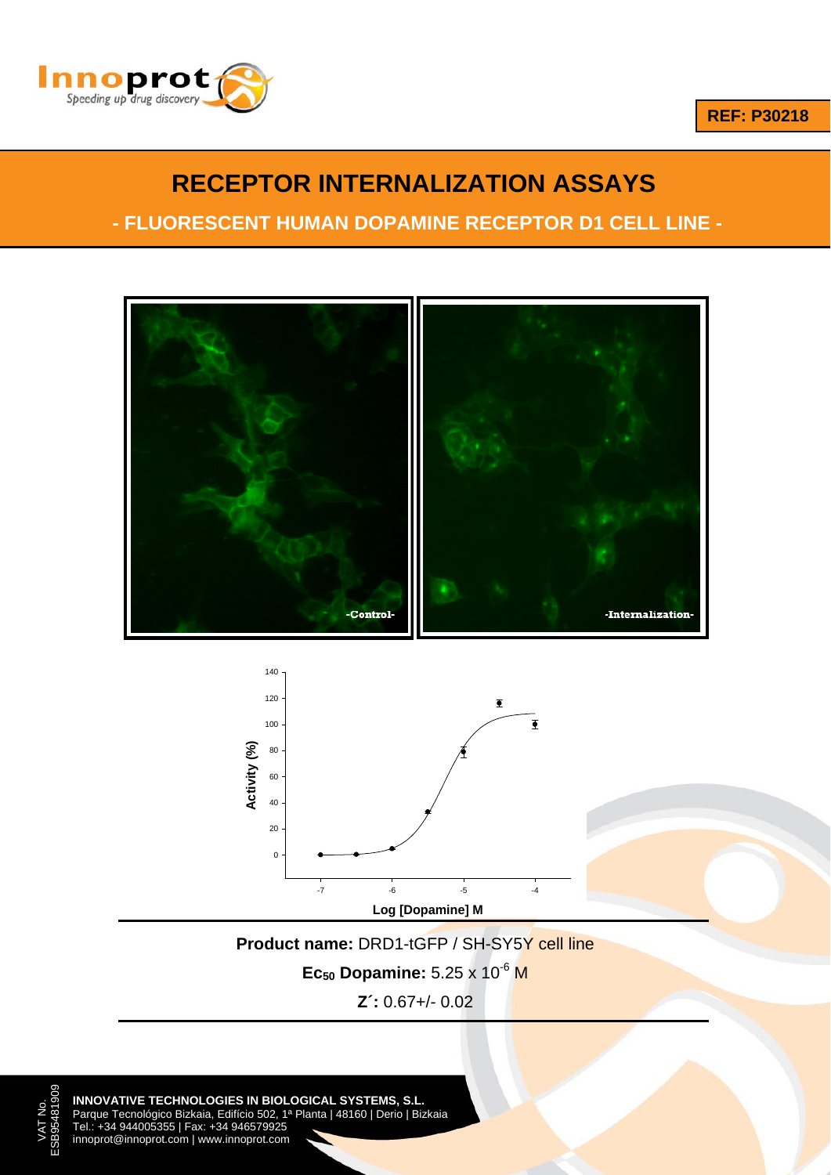



# **RECEPTOR INTERNALIZATION ASSAYS**

**- FLUORESCENT HUMAN DOPAMINE RECEPTOR D1 CELL LINE -**





**Product name: DRD1-tGFP / SH-SY5Y cell line** 

**Ec<sub>50</sub> Dopamine:** 5.25 x 10<sup>-6</sup> M

**Z´:** 0.67+/- 0.02

**INNOVATIVE TECHNOLOGIES IN BIOLOGICAL SYSTEMS, S.L.** Parque Tecnológico Bizkaia, Edifício 502, 1ª Planta | 48160 | Derio | Bizkaia Tel.: +34 944005355 | Fax: +34 946579925

VAT No. ESB95481909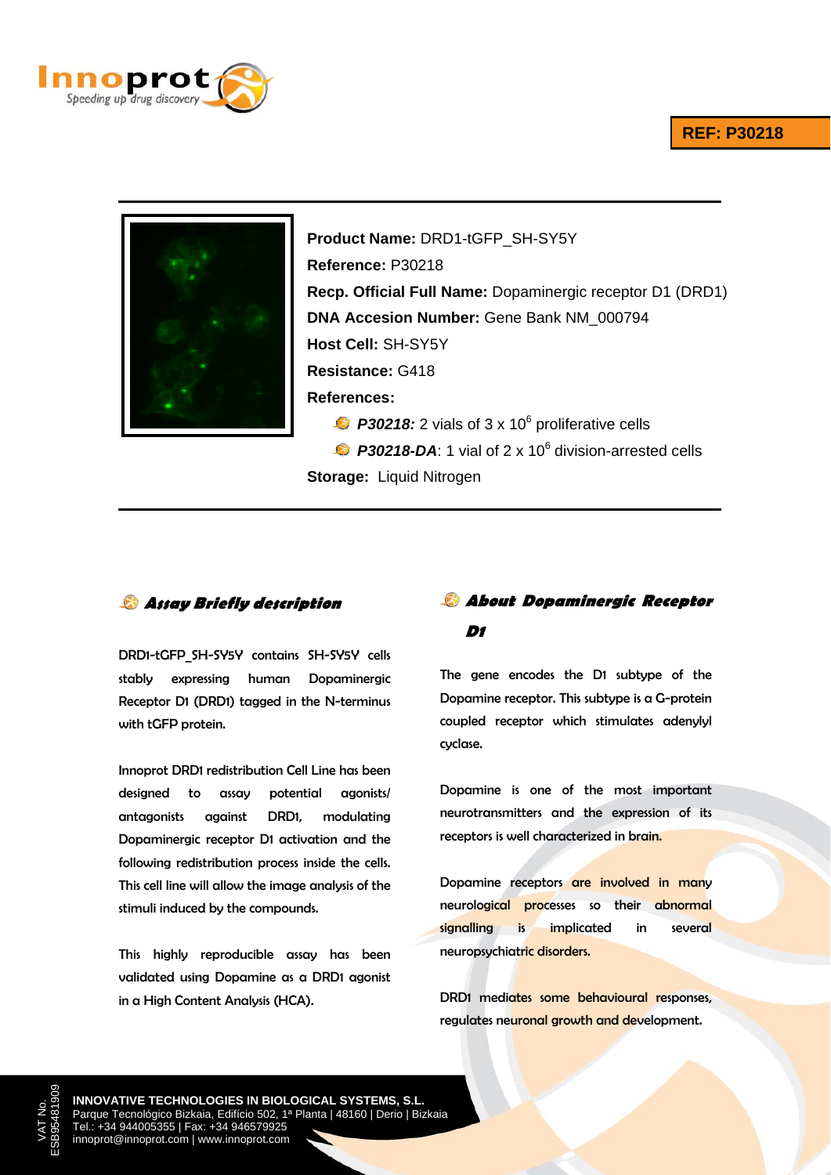#### **REF: P30218**





**Product Name:** DRD1-tGFP\_SH-SY5Y **Reference:** P30218 **Recp. Official Full Name:** Dopaminergic receptor D1 (DRD1) **DNA Accesion Number:** Gene Bank NM\_000794 **Host Cell:** SH-SY5Y **Resistance:** G418 **References:**  $P30218$ : 2 vials of 3 x 10 $^6$  proliferative cells P30218-DA: 1 vial of 2 x 10<sup>6</sup> division-arrested cells

**Storage:** Liquid Nitrogen

**Assay Briefly description** 

DRD1-tGFP\_SH-SY5Y contains SH-SY5Y cells stably expressing human Dopaminergic Receptor D1 (DRD1) tagged in the N-terminus with tGFP protein.

Innoprot DRD1 redistribution Cell Line has been designed to assay potential agonists/ antagonists against DRD1, modulating Dopaminergic receptor D1 activation and the following redistribution process inside the cells. This cell line will allow the image analysis of the stimuli induced by the compounds.

This highly reproducible assay has been validated using Dopamine as a DRD1 agonist in a High Content Analysis (HCA).

## **About Dopaminergic Receptor D1**

The gene encodes the D1 subtype of the Dopamine receptor. This subtype is a G-protein coupled receptor which stimulates adenylyl cyclase.

Dopamine is one of the most important neurotransmitters and the expression of its receptors is well characterized in brain.

Dopamine receptors are involved in many neurological processes so their abnormal signalling is implicated in several neuropsychiatric disorders.

DRD1 mediates some behavioural responses, regulates neuronal growth and development.

**INNOVATIVE TECHNOLOGIES IN BIOLOGICAL SYSTEMS, S.L.** Parque Tecnológico Bizkaia, Edifício 502, 1ª Planta | 48160 | Derio | Bizkaia Tel.: +34 944005355 | Fax: +34 946579925 innoprot@innoprot.com | www.innoprot.com

VAT No. ESB95481909